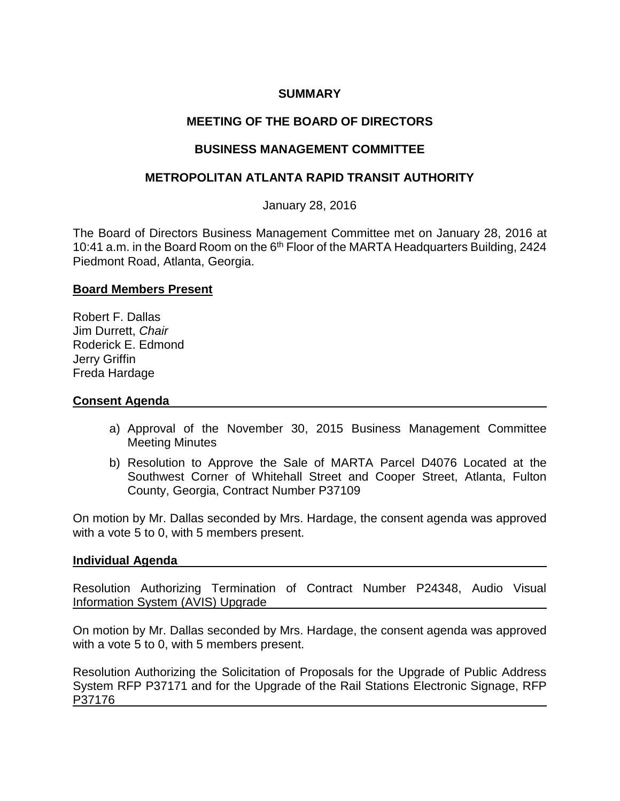# **SUMMARY**

# **MEETING OF THE BOARD OF DIRECTORS**

# **BUSINESS MANAGEMENT COMMITTEE**

# **METROPOLITAN ATLANTA RAPID TRANSIT AUTHORITY**

January 28, 2016

The Board of Directors Business Management Committee met on January 28, 2016 at 10:41 a.m. in the Board Room on the 6<sup>th</sup> Floor of the MARTA Headquarters Building, 2424 Piedmont Road, Atlanta, Georgia.

### **Board Members Present**

Robert F. Dallas Jim Durrett, *Chair* Roderick E. Edmond Jerry Griffin Freda Hardage

### **Consent Agenda**

- a) Approval of the November 30, 2015 Business Management Committee Meeting Minutes
- b) Resolution to Approve the Sale of MARTA Parcel D4076 Located at the Southwest Corner of Whitehall Street and Cooper Street, Atlanta, Fulton County, Georgia, Contract Number P37109

On motion by Mr. Dallas seconded by Mrs. Hardage, the consent agenda was approved with a vote 5 to 0, with 5 members present.

#### **Individual Agenda**

Resolution Authorizing Termination of Contract Number P24348, Audio Visual Information System (AVIS) Upgrade

On motion by Mr. Dallas seconded by Mrs. Hardage, the consent agenda was approved with a vote 5 to 0, with 5 members present.

Resolution Authorizing the Solicitation of Proposals for the Upgrade of Public Address System RFP P37171 and for the Upgrade of the Rail Stations Electronic Signage, RFP P37176